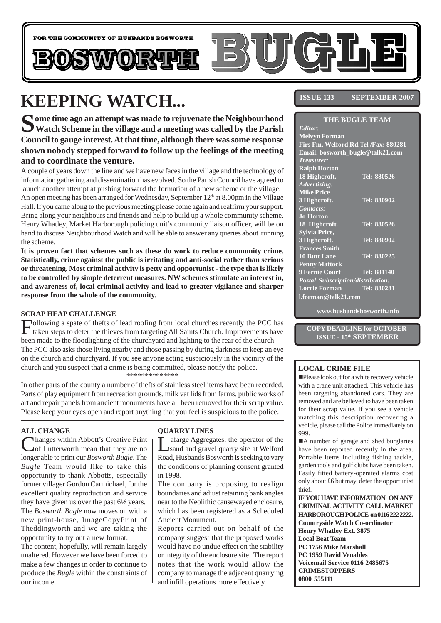

# **KEEPING WATCH...**

**Some time ago an attempt was made to rejuvenate the Neighbourhood Watch Scheme in the village and a meeting was called by the Parish Council to gauge interest. At that time, although there was some response shown nobody stepped forward to follow up the feelings of the meeting and to coordinate the venture.**

A couple of years down the line and we have new faces in the village and the technology of information gathering and dissemination has evolved. So the Parish Council have agreed to launch another attempt at pushing forward the formation of a new scheme or the village. An open meeting has been arranged for Wednesday, September 12<sup>th</sup> at 8.00pm in the Village Hall. If you came along to the previous meeting please come again and reaffirm your support. Bring along your neighbours and friends and help to build up a whole community scheme. Henry Whatley, Market Harborough policing unit's community liaison officer, will be on hand to discuss Neighbourhood Watch and will be able to answer any queries about running the scheme.

**It is proven fact that schemes such as these do work to reduce community crime. Statistically, crime against the public is irritating and anti-social rather than serious or threatening. Most criminal activity is petty and opportunist - the type that is likely to be controlled by simple deterrent measures. NW schemes stimulate an interest in, and awareness of, local criminal activity and lead to greater vigilance and sharper response from the whole of the community.**

#### **SCRAP HEAP CHALLENGE**

Following a spate of thefts of lead roofing from local churches recently the PCC has taken steps to deter the thieves from targeting All Saints Church. Improvements have been made to the floodlighting of the churchyard and lighting to the rear of the church The PCC also asks those living nearby and those passing by during darkness to keep an eye on the church and churchyard. If you see anyone acting suspiciously in the vicinity of the church and you suspect that a crime is being committed, please notify the police. \*\*\*\*\*\*\*\*\*\*\*\*\*\*

In other parts of the county a number of thefts of stainless steel items have been recorded. Parts of play equipment from recreation grounds, milk vat lids from farms, public works of art and repair panels from ancient monuments have all been removed for their scrap value. Please keep your eyes open and report anything that you feel is suspicious to the police.

#### **ALL CHANGE**

Changes within Abbott's Creative Print<br>
Cof Lutterworth mean that they are no longer able to print our *Bosworth Bugle*. The *Bugle* Team would like to take this opportunity to thank Abbotts, especially former villager Gordon Carmichael, for the excellent quality reproduction and service they have given us over the past 6½ years. The *Bosworth Bugle* now moves on with a new print-house, ImageCopyPrint of Theddingworth and we are taking the opportunity to try out a new format.

The content, hopefully, will remain largely unaltered. However we have been forced to make a few changes in order to continue to produce the *Bugle* within the constraints of our income.

#### **QUARRY LINES**

Lafarge Aggregates, the operator of the sand and gravel quarry site at Welford Road, Husbands Bosworth is seeking to vary the conditions of planning consent granted in 1998.

The company is proposing to realign boundaries and adjust retaining bank angles near to the Neolithic causewayed enclosure, which has been registered as a Scheduled Ancient Monument.

Reports carried out on behalf of the company suggest that the proposed works would have no undue effect on the stability or integrity of the enclosure site. The report notes that the work would allow the company to manage the adjacent quarrying and infill operations more effectively.

#### **ISSUE 133 SEPTEMBER 2007**

#### **THE BUGLE TEAM**

| Editor:                                  |             |
|------------------------------------------|-------------|
| <b>Melvyn Forman</b>                     |             |
| Firs Fm, Welford Rd.Tel /Fax: 880281     |             |
| Email: bosworth_bugle@talk21.com         |             |
| <b>Treasurer:</b>                        |             |
| <b>Ralph Horton</b>                      |             |
| 18 Highcroft.                            | Tel: 880526 |
| Advertising:                             |             |
| <b>Mike Price</b>                        |             |
| 3 Highcroft.                             | Tel: 880902 |
| Contacts:                                |             |
| <b>Jo Horton</b>                         |             |
| 18 Highcroft.                            | Tel: 880526 |
| <b>Sylvia Price,</b>                     |             |
| 3 Highcroft.                             | Tel: 880902 |
| <b>Frances Smith</b>                     |             |
| <b>10 Butt Lane</b>                      | Tel: 880225 |
| <b>Penny Mattock</b>                     |             |
| <b>9 Fernie Court</b>                    | Tel: 881140 |
| <b>Postal Subscription/distribution:</b> |             |
| <b>Lorrie Forman</b>                     | Tel: 880281 |
| Lforman@talk21.com                       |             |
|                                          |             |

**www.husbandsbosworth.info**

**COPY DEADLINE for OCTOBER ISSUE - 15th SEPTEMBER**

#### **LOCAL CRIME FILE**

!Please look out for a white recovery vehicle with a crane unit attached. This vehicle has been targeting abandoned cars. They are removed and are believed to have been taken for their scrap value. If you see a vehicle matching this description recovering a vehicle, please call the Police immediately on 999.

A number of garage and shed burglaries have been reported recently in the area. Portable items including fishing tackle, garden tools and golf clubs have been taken. Easily fitted battery-operated alarms cost only about £6 but may deter the opportunist thief.

**IF YOU HAVE INFORMATION ON ANY CRIMINAL ACTIVITY CALL MARKET HARBOROUGH POLICE on 0116 222 2222. Countryside Watch Co-ordinator Henry Whatley Ext. 3875 Local Beat Team PC 1756 Mike Marshall PC 1959 David Venables Voicemail Service 0116 2485675 CRIMESTOPPERS 0800 555111**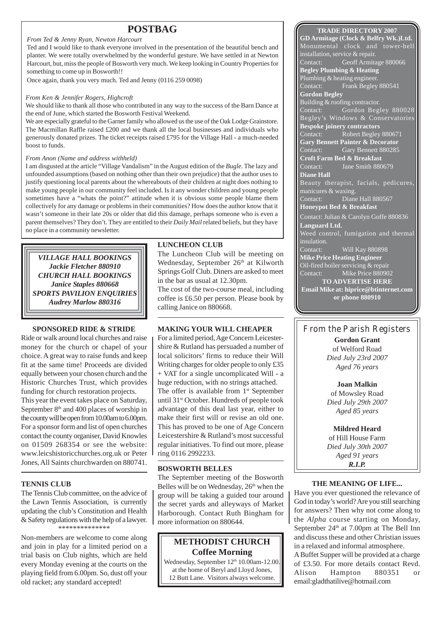### **POSTBAG TRADE DIRECTORY 2007**

#### *From Ted & Jenny Ryan, Newton Harcourt*

Ted and I would like to thank everyone involved in the presentation of the beautiful bench and planter. We were totally overwhelmed by the wonderful gesture. We have settled in at Newton Harcourt, but, miss the people of Bosworth very much. We keep looking in Country Properties for something to come up in Bosworth!!

Once again, thank you very much. Ted and Jenny (0116 259 0098)

#### *From Ken & Jennifer Rogers, Highcroft*

We should like to thank all those who contributed in any way to the success of the Barn Dance at the end of June, which started the Bosworth Festival Weekend.

We are especially grateful to the Garner family who allowed us the use of the Oak Lodge Grainstore. The Macmillan Raffle raised £200 and we thank all the local businesses and individuals who generously donated prizes. The ticket receipts raised £795 for the Village Hall - a much-needed boost to funds.

#### *From Anon (Name and address withheld)*

I am disgusted at the article "Village Vandalism" in the August edition of the *Bugle*. The lazy and unfounded assumptions (based on nothing other than their own prejudice) that the author uses to justify questioning local parents about the whereabouts of their children at night does nothing to make young people in our community feel included. Is it any wonder children and young people sometimes have a "whats the point?" attitude when it is obvious some people blame them collectively for any damage or problems in their communities? How does the author know that it wasn't someone in their late 20s or older that did this damage, perhaps someone who is even a parent themselves? They don't. They are entitled to their *Daily Mail* related beliefs, but they have no place in a community newsletter.

*VILLAGE HALL BOOKINGS Jackie Fletcher 880910 CHURCH HALL BOOKINGS Janice Staples 880668 SPORTS PAVILION ENQUIRIES Audrey Marlow 880316*

#### **SPONSORED RIDE & STRIDE**

Ride or walk around local churches and raise money for the church or chapel of your choice. A great way to raise funds and keep fit at the same time! Proceeds are divided equally between your chosen church and the Historic Churches Trust, which provides funding for church restoration projects.

This year the event takes place on Saturday, September  $8<sup>th</sup>$  and 400 places of worship in the county will be open from 10.00am to 6.00pm. For a sponsor form and list of open churches contact the county organiser, David Knowles on 01509 268354 or see the website: www.leicshistoricchurches.org.uk or Peter Jones, All Saints churchwarden on 880741.

#### **TENNIS CLUB**

The Tennis Club committee, on the advice of the Lawn Tennis Association, is currently updating the club's Constitution and Health & Safety regulations with the help of a lawyer. \*\*\*\*\*\*\*\*\*\*\*\*\*\*

Non-members are welcome to come along and join in play for a limited period on a trial basis on Club nights, which are held every Monday evening at the courts on the playing field from 6.00pm. So, dust off your old racket; any standard accepted!

#### **LUNCHEON CLUB**

The Luncheon Club will be meeting on Wednesday, September 26<sup>th</sup> at Kilworth Springs Golf Club. Diners are asked to meet in the bar as usual at 12.30pm.

The cost of the two-course meal, including coffee is £6.50 per person. Please book by calling Janice on 880668.

#### **MAKING YOUR WILL CHEAPER**

For a limited period, Age Concern Leicestershire & Rutland has persuaded a number of local solicitors' firms to reduce their Will Writing charges for older people to only £35 + VAT for a single uncomplicated Will - a huge reduction, with no strings attached. The offer is available from  $1<sup>st</sup>$  September until 31st October. Hundreds of people took advantage of this deal last year, either to make their first will or revise an old one. This has proved to be one of Age Concern Leicestershire & Rutland's most successful regular initiatives. To find out more, please ring 0116 2992233.

#### **BOSWORTH BELLES**

The September meeting of the Bosworth Belles will be on Wednesday, 26<sup>th</sup> when the group will be taking a guided tour around the secret yards and alleyways of Market Harborough. Contact Ruth Bingham for more information on 880644.

### **METHODIST CHURCH Coffee Morning**

Wednesday, September 12<sup>th</sup> 10.00am-12.00. at the home of Beryl and Lloyd Jones, 12 Butt Lane. Visitors always welcome.

**GD Armitage (Clock & Belfry Wk.)Ltd.** Monumental clock and tower-bell installation, service & repair.<br>Contact: Geoff Armita Geoff Armitage 880066 **Begley Plumbing & Heating** Plumbing & heating engineer. Contact: Frank Begley 880541 **Gordon Begley** Building & roofing contractor. Contact: Gordon Begley 880028 Begley's Windows & Conservatories **Bespoke joinery contractors** Contact: Robert Begley 880671 **Gary Bennett Painter & Decorator** Contact: Gary Bennett 880285 **Croft Farm Bed & Breakfast** Contact: Jane Smith 880679 **Diane Hall** Beauty therapist, facials, pedicures, manicures & waxing. Diane Hall 880567 **Honeypot Bed & Breakfast** Contact: Julian & Carolyn Goffe 880836 **Languard Ltd.** Weed control, fumigation and thermal insulation. Contact: Will Kay 880898 **Mike Price Heating Engineer** Oil-fired boiler servicing & repair Contact: Mike Price 880902 **TO ADVERTISE HERE Email Mike at: hiprice@btinternet.com or phone 880910**

#### From the Parish Registers

**Gordon Grant** of Welford Road *Died July 23rd 2007 Aged 76 years*

**Joan Malkin** of Mowsley Road *Died July 29th 2007 Aged 85 years*

**Mildred Heard** of Hill House Farm *Died July 30th 2007 Aged 91 years R.I.P.*

#### **THE MEANING OF LIFE...**

Have you ever questioned the relevance of God in today's world? Are you still searching for answers? Then why not come along to the *Alpha* course starting on Monday, September 24<sup>th</sup> at 7.00pm at The Bell Inn and discuss these and other Christian issues in a relaxed and informal atmosphere. A Buffet Supper will be provided at a charge of £3.50. For more details contact Revd. Alison Hampton 880351 or

email:gladthatilive@hotmail.com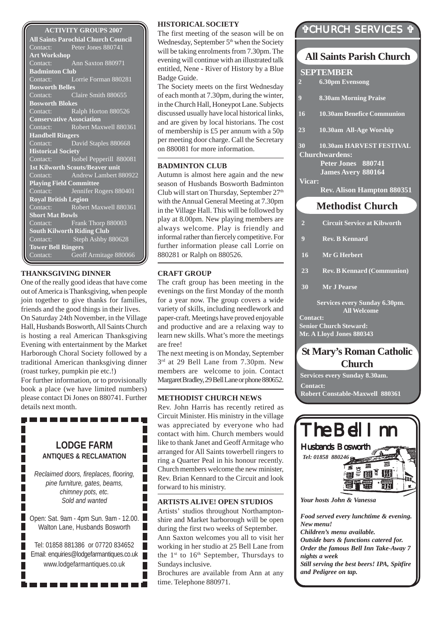#### **ACTIVITY GROUPS 2007**

**All Saints Parochial Church Council** Contact: Peter Jones 880741 **Art Workshop** Contact: Ann Saxton 880971 **Badminton Club** Contact: Lorrie Forman 880281 **Bosworth Belles** Contact: Claire Smith 880655 **Bosworth Blokes** Contact: Ralph Horton 880526 **Conservative Association**<br>Contact: Robert May Robert Maxwell 880361 **Handbell Ringers** Contact: David Staples 880668 **Historical Society** Contact: Isobel Pepperill 880081 **1st Kilworth Scouts/Beaver unit** Contact: Andrew Lambert 880922 **Playing Field Committee** Contact: Jennifer Rogers 880401 **Royal British Legion** Contact: Robert Maxwell 880361 **Short Mat Bowls** Contact: Frank Thorp 880003 **South Kilworth Riding Club** Contact: Steph Ashby 880628 **Tower Bell Ringers** Contact: Geoff Armitage 880066

#### **THANKSGIVING DINNER**

One of the really good ideas that have come out of America is Thanksgiving, when people join together to give thanks for families, friends and the good things in their lives. On Saturday 24th November, in the Village Hall, Husbands Bosworth, All Saints Church is hosting a real American Thanksgiving Evening with entertainment by the Market Harborough Choral Society followed by a traditional American thanksgiving dinner (roast turkey, pumpkin pie etc.!)

For further information, or to provisionally book a place (we have limited numbers) please contact Di Jones on 880741. Further details next month.

----------

### **LODGE FARM ANTIQUES & RECLAMATION**

*Reclaimed doors, fireplaces, flooring, pine furniture, gates, beams, chimney pots, etc. Sold and wanted*

П

Г Г Г

г

Open: Sat. 9am - 4pm Sun. 9am - 12.00. Walton Lane, Husbands Bosworth

Tel: 01858 881386 or 07720 834652 Email: enquiries@lodgefarmantiques.co.uk www.lodgefarmantiques.co.uk

. . . . . . . . . . .

#### **HISTORICAL SOCIETY**

The first meeting of the season will be on Wednesday, September 5<sup>th</sup> when the Society will be taking enrolments from 7.30pm. The evening will continue with an illustrated talk entitled, Nene - River of History by a Blue Badge Guide.

The Society meets on the first Wednesday of each month at 7.30pm, during the winter, in the Church Hall, Honeypot Lane. Subjects discussed usually have local historical links, and are given by local historians. The cost of membership is £5 per annum with a 50p per meeting door charge. Call the Secretary on 880081 for more information.

#### **BADMINTON CLUB**

Autumn is almost here again and the new season of Husbands Bosworth Badminton Club will start on Thursday, September 27<sup>th</sup> with the Annual General Meeting at 7.30pm in the Village Hall. This will be followed by play at 8.00pm. New playing members are always welcome. Play is friendly and informal rather than fiercely competitive. For further information please call Lorrie on 880281 or Ralph on 880526.

#### **CRAFT GROUP**

The craft group has been meeting in the evenings on the first Monday of the month for a year now. The group covers a wide variety of skills, including needlework and paper-craft. Meetings have proved enjoyable and productive and are a relaxing way to learn new skills. What's more the meetings are free!

The next meeting is on Monday, September 3rd at 29 Bell Lane from 7.30pm. New members are welcome to join. Contact Margaret Bradley, 29 Bell Lane or phone 880652.

#### **METHODIST CHURCH NEWS**

Rev. John Harris has recently retired as Circuit Minister. His ministry in the village was appreciated by everyone who had contact with him. Church members would like to thank Janet and Geoff Armitage who arranged for All Saints towerbell ringers to ring a Quarter Peal in his honour recently. Church members welcome the new minister, Rev. Brian Kennard to the Circuit and look forward to his ministry.

#### **ARTISTS ALIVE! OPEN STUDIOS**

Artists' studios throughout Northamptonshire and Market harborough will be open during the first two weeks of September. Ann Saxton welcomes you all to visit her working in her studio at 25 Bell Lane from the  $1<sup>st</sup>$  to  $16<sup>th</sup>$  September, Thursdays to Sundays inclusive.

Brochures are available from Ann at any time. Telephone 880971.

### "CHURCH SERVICES "

### **All Saints Parish Church**

**SEPTEMBER 2 6.30pm Evensong 9 8.30am Morning Praise 16 10.30am Benefice Communion 23 10.30am All-Age Worship**

**30 10.30am HARVEST FESTIVAL Churchwardens:**

**Peter Jones 880741 James Avery 880164 Vicar:**

**Rev. Alison Hampton 880351**

### **Methodist Church**

- **2 Circuit Service at Kibworth**
- **9 Rev. B Kennard**
- **16 Mr G Herbert**
- **23 Rev. B Kennard (Communion)**
- **30 Mr J Pearse**

**Services every Sunday 6.30pm. All Welcome**

**Contact: Senior Church Steward: Mr. A Lloyd Jones 880343**

### **St Mary's Roman Catholic Church**

**Services every Sunday 8.30am. Contact: Robert Constable-Maxwell 880361**



*Your hosts John & Vanessa*

*Food served every lunchtime & evening. New menu! Children's menu available. Outside bars & functions catered for. Order the famous Bell Inn Take-Away 7 nights a week Still serving the best beers! IPA, Spitfire and Pedigree on tap.*